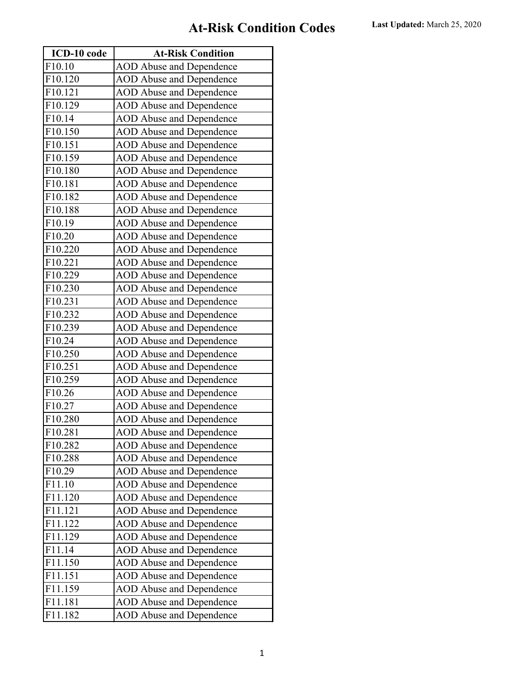| ICD-10 code          | <b>At-Risk Condition</b>        |
|----------------------|---------------------------------|
| F10.10               | <b>AOD Abuse and Dependence</b> |
| F10.120              | <b>AOD Abuse and Dependence</b> |
| F10.121              | <b>AOD Abuse and Dependence</b> |
| F10.129              | <b>AOD Abuse and Dependence</b> |
| F10.14               | <b>AOD Abuse and Dependence</b> |
| F10.150              | <b>AOD Abuse and Dependence</b> |
| F10.151              | <b>AOD</b> Abuse and Dependence |
| F10.159              | <b>AOD Abuse and Dependence</b> |
| F10.180              | <b>AOD Abuse and Dependence</b> |
| F10.181              | <b>AOD Abuse and Dependence</b> |
| F10.182              | <b>AOD Abuse and Dependence</b> |
| F10.188              | <b>AOD Abuse and Dependence</b> |
| F10.19               | <b>AOD Abuse and Dependence</b> |
| F10.20               | <b>AOD Abuse and Dependence</b> |
| F10.220              | <b>AOD Abuse and Dependence</b> |
| F10.221              | <b>AOD Abuse and Dependence</b> |
| F10.229              | <b>AOD</b> Abuse and Dependence |
| F10.230              | <b>AOD Abuse and Dependence</b> |
| F10.231              | <b>AOD Abuse and Dependence</b> |
| F10.232              | <b>AOD Abuse and Dependence</b> |
| F10.239              | <b>AOD Abuse and Dependence</b> |
| F10.24               | <b>AOD Abuse and Dependence</b> |
| F10.250              | <b>AOD Abuse and Dependence</b> |
| F10.251              | <b>AOD Abuse and Dependence</b> |
| F10.259              | <b>AOD Abuse and Dependence</b> |
| F10.26               | <b>AOD Abuse and Dependence</b> |
| F10.27               | <b>AOD Abuse and Dependence</b> |
| F10.280              | <b>AOD Abuse and Dependence</b> |
| F10.281              | <b>AOD</b> Abuse and Dependence |
| F10.282              | <b>AOD Abuse and Dependence</b> |
| F10.288              | <b>AOD</b> Abuse and Dependence |
| F <sub>10.29</sub>   | <b>AOD Abuse and Dependence</b> |
| F11.10               | <b>AOD Abuse and Dependence</b> |
| F11.120              | <b>AOD Abuse and Dependence</b> |
| F11.121              | <b>AOD Abuse and Dependence</b> |
| F11.122              | <b>AOD Abuse and Dependence</b> |
| F11.129              | <b>AOD Abuse and Dependence</b> |
| F11.14               | <b>AOD Abuse and Dependence</b> |
| F11.150              | <b>AOD Abuse and Dependence</b> |
| F11.151              | <b>AOD Abuse and Dependence</b> |
| $\overline{F11.159}$ | <b>AOD Abuse and Dependence</b> |
| F11.181              | <b>AOD Abuse and Dependence</b> |
| F11.182              | <b>AOD Abuse and Dependence</b> |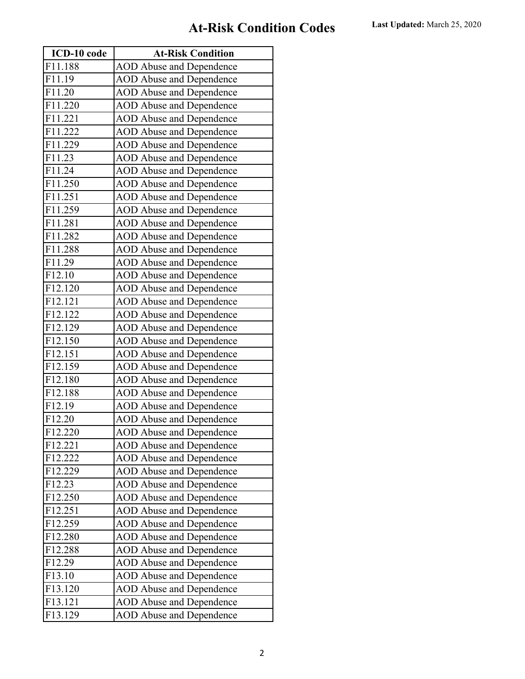| ICD-10 code           | <b>At-Risk Condition</b>        |
|-----------------------|---------------------------------|
| F11.188               | <b>AOD Abuse and Dependence</b> |
| F11.19                | <b>AOD Abuse and Dependence</b> |
| F11.20                | <b>AOD Abuse and Dependence</b> |
| F11.220               | <b>AOD Abuse and Dependence</b> |
| F11.221               | <b>AOD Abuse and Dependence</b> |
| F11.222               | <b>AOD Abuse and Dependence</b> |
| F11.229               | <b>AOD</b> Abuse and Dependence |
| F11.23                | <b>AOD Abuse and Dependence</b> |
| F11.24                | <b>AOD Abuse and Dependence</b> |
| F11.250               | <b>AOD Abuse and Dependence</b> |
| F11.251               | <b>AOD Abuse and Dependence</b> |
| F11.259               | <b>AOD Abuse and Dependence</b> |
| F11.281               | <b>AOD Abuse and Dependence</b> |
| F11.282               | <b>AOD Abuse and Dependence</b> |
| F11.288               | <b>AOD Abuse and Dependence</b> |
| F11.29                | <b>AOD Abuse and Dependence</b> |
| $\overline{F}$ 12.10  | <b>AOD</b> Abuse and Dependence |
| F12.120               | <b>AOD Abuse and Dependence</b> |
| F12.121               | <b>AOD</b> Abuse and Dependence |
| F12.122               | <b>AOD Abuse and Dependence</b> |
| F12.129               | <b>AOD Abuse and Dependence</b> |
| F12.150               | <b>AOD Abuse and Dependence</b> |
| F12.151               | <b>AOD Abuse and Dependence</b> |
| F12.159               | <b>AOD Abuse and Dependence</b> |
| F12.180               | <b>AOD Abuse and Dependence</b> |
| F12.188               | <b>AOD Abuse and Dependence</b> |
| F12.19                | <b>AOD Abuse and Dependence</b> |
| F12.20                | <b>AOD Abuse and Dependence</b> |
| F12.220               | <b>AOD</b> Abuse and Dependence |
| F12.221               | <b>AOD Abuse and Dependence</b> |
| F12.222               | <b>AOD</b> Abuse and Dependence |
| F12.229               | <b>AOD Abuse and Dependence</b> |
| F12.23                | <b>AOD Abuse and Dependence</b> |
| F12.250               | <b>AOD Abuse and Dependence</b> |
| F12.251               | <b>AOD Abuse and Dependence</b> |
| F12.259               | <b>AOD Abuse and Dependence</b> |
| F12.280               | <b>AOD Abuse and Dependence</b> |
| F12.288               | <b>AOD Abuse and Dependence</b> |
| F12.29                | <b>AOD Abuse and Dependence</b> |
| F13.10                | <b>AOD Abuse and Dependence</b> |
| $\overline{F}$ 13.120 | <b>AOD Abuse and Dependence</b> |
| F13.121               | <b>AOD Abuse and Dependence</b> |
| F13.129               | <b>AOD</b> Abuse and Dependence |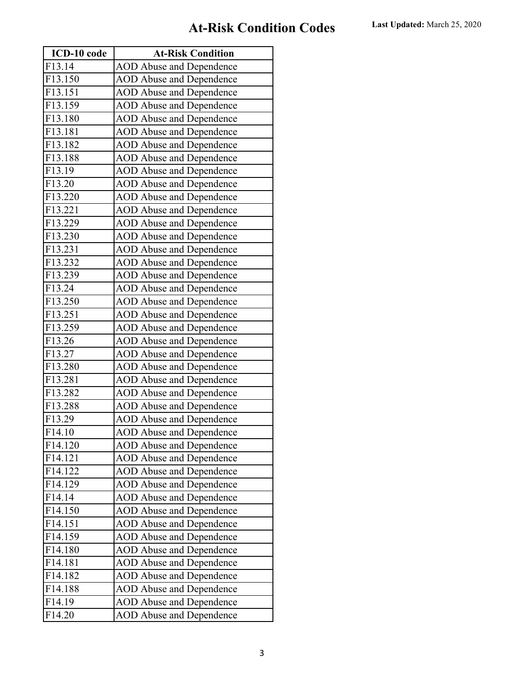| ICD-10 code         | <b>At-Risk Condition</b>        |
|---------------------|---------------------------------|
| F13.14              | <b>AOD Abuse and Dependence</b> |
| F13.150             | <b>AOD Abuse and Dependence</b> |
| F13.151             | <b>AOD Abuse and Dependence</b> |
| F13.159             | <b>AOD Abuse and Dependence</b> |
| F13.180             | <b>AOD Abuse and Dependence</b> |
| F13.181             | <b>AOD Abuse and Dependence</b> |
| F13.182             | <b>AOD</b> Abuse and Dependence |
| F13.188             | <b>AOD Abuse and Dependence</b> |
| F13.19              | <b>AOD Abuse and Dependence</b> |
| F13.20              | <b>AOD Abuse and Dependence</b> |
| F13.220             | <b>AOD Abuse and Dependence</b> |
| F13.221             | <b>AOD Abuse and Dependence</b> |
| F13.229             | <b>AOD Abuse and Dependence</b> |
| F13.230             | <b>AOD Abuse and Dependence</b> |
| F13.231             | <b>AOD Abuse and Dependence</b> |
| F13.232             | <b>AOD Abuse and Dependence</b> |
| F13.239             | <b>AOD</b> Abuse and Dependence |
| F13.24              | <b>AOD Abuse and Dependence</b> |
| F13.250             | <b>AOD Abuse and Dependence</b> |
| F13.251             | <b>AOD Abuse and Dependence</b> |
| F13.259             | <b>AOD Abuse and Dependence</b> |
| F13.26              | <b>AOD Abuse and Dependence</b> |
| F13.27              | <b>AOD Abuse and Dependence</b> |
| F13.280             | <b>AOD Abuse and Dependence</b> |
| F13.281             | <b>AOD Abuse and Dependence</b> |
| F13.282             | <b>AOD Abuse and Dependence</b> |
| F13.288             | <b>AOD Abuse and Dependence</b> |
| F13.29              | <b>AOD Abuse and Dependence</b> |
| $\overline{F14.10}$ | <b>AOD</b> Abuse and Dependence |
| F14.120             | <b>AOD Abuse and Dependence</b> |
| F14.121             | <b>AOD</b> Abuse and Dependence |
| F14.122             | <b>AOD Abuse and Dependence</b> |
| F14.129             | <b>AOD Abuse and Dependence</b> |
| F14.14              | <b>AOD Abuse and Dependence</b> |
| F14.150             | <b>AOD Abuse and Dependence</b> |
| F14.151             | <b>AOD Abuse and Dependence</b> |
| F14.159             | <b>AOD Abuse and Dependence</b> |
| F14.180             | <b>AOD Abuse and Dependence</b> |
| F14.181             | <b>AOD Abuse and Dependence</b> |
| F14.182             | <b>AOD Abuse and Dependence</b> |
| F14.188             | <b>AOD Abuse and Dependence</b> |
| F14.19              | <b>AOD Abuse and Dependence</b> |
| F14.20              | <b>AOD Abuse and Dependence</b> |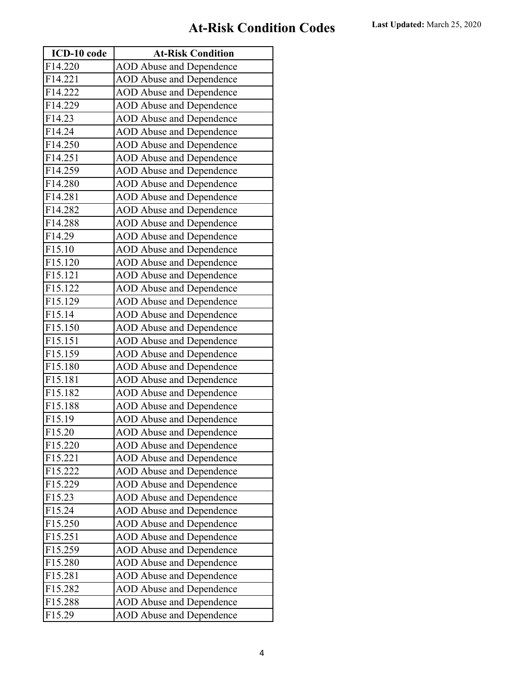| ICD-10 code | <b>At-Risk Condition</b>        |
|-------------|---------------------------------|
| F14.220     | <b>AOD Abuse and Dependence</b> |
| F14.221     | <b>AOD Abuse and Dependence</b> |
| F14.222     | <b>AOD Abuse and Dependence</b> |
| F14.229     | <b>AOD Abuse and Dependence</b> |
| F14.23      | <b>AOD Abuse and Dependence</b> |
| F14.24      | <b>AOD Abuse and Dependence</b> |
| F14.250     | <b>AOD</b> Abuse and Dependence |
| F14.251     | <b>AOD Abuse and Dependence</b> |
| F14.259     | <b>AOD Abuse and Dependence</b> |
| F14.280     | <b>AOD Abuse and Dependence</b> |
| F14.281     | <b>AOD Abuse and Dependence</b> |
| F14.282     | <b>AOD Abuse and Dependence</b> |
| F14.288     | <b>AOD Abuse and Dependence</b> |
| F14.29      | <b>AOD Abuse and Dependence</b> |
| F15.10      | <b>AOD Abuse and Dependence</b> |
| F15.120     | <b>AOD Abuse and Dependence</b> |
| F15.121     | <b>AOD</b> Abuse and Dependence |
| F15.122     | <b>AOD Abuse and Dependence</b> |
| F15.129     | <b>AOD Abuse and Dependence</b> |
| F15.14      | <b>AOD Abuse and Dependence</b> |
| F15.150     | <b>AOD Abuse and Dependence</b> |
| F15.151     | <b>AOD Abuse and Dependence</b> |
| F15.159     | <b>AOD Abuse and Dependence</b> |
| F15.180     | <b>AOD Abuse and Dependence</b> |
| F15.181     | <b>AOD Abuse and Dependence</b> |
| F15.182     | <b>AOD Abuse and Dependence</b> |
| F15.188     | <b>AOD Abuse and Dependence</b> |
| F15.19      | <b>AOD Abuse and Dependence</b> |
| F15.20      | <b>AOD</b> Abuse and Dependence |
| F15.220     | <b>AOD Abuse and Dependence</b> |
| F15.221     | <b>AOD</b> Abuse and Dependence |
| F15.222     | <b>AOD Abuse and Dependence</b> |
| F15.229     | <b>AOD Abuse and Dependence</b> |
| F15.23      | <b>AOD Abuse and Dependence</b> |
| F15.24      | <b>AOD Abuse and Dependence</b> |
| F15.250     | <b>AOD Abuse and Dependence</b> |
| F15.251     | <b>AOD Abuse and Dependence</b> |
| F15.259     | <b>AOD Abuse and Dependence</b> |
| F15.280     | <b>AOD Abuse and Dependence</b> |
| F15.281     | <b>AOD Abuse and Dependence</b> |
| F15.282     | <b>AOD Abuse and Dependence</b> |
| F15.288     | <b>AOD Abuse and Dependence</b> |
| F15.29      | <b>AOD Abuse and Dependence</b> |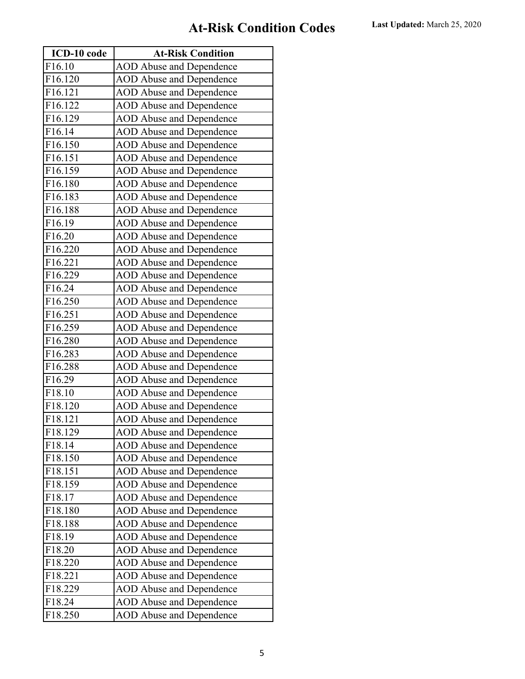| ICD-10 code | <b>At-Risk Condition</b>        |
|-------------|---------------------------------|
| F16.10      | <b>AOD Abuse and Dependence</b> |
| F16.120     | <b>AOD Abuse and Dependence</b> |
| F16.121     | <b>AOD Abuse and Dependence</b> |
| F16.122     | <b>AOD Abuse and Dependence</b> |
| F16.129     | <b>AOD Abuse and Dependence</b> |
| F16.14      | <b>AOD Abuse and Dependence</b> |
| F16.150     | <b>AOD</b> Abuse and Dependence |
| F16.151     | <b>AOD Abuse and Dependence</b> |
| F16.159     | <b>AOD Abuse and Dependence</b> |
| F16.180     | <b>AOD Abuse and Dependence</b> |
| F16.183     | <b>AOD Abuse and Dependence</b> |
| F16.188     | <b>AOD Abuse and Dependence</b> |
| F16.19      | <b>AOD Abuse and Dependence</b> |
| F16.20      | <b>AOD Abuse and Dependence</b> |
| F16.220     | <b>AOD Abuse and Dependence</b> |
| F16.221     | <b>AOD Abuse and Dependence</b> |
| F16.229     | <b>AOD</b> Abuse and Dependence |
| F16.24      | <b>AOD Abuse and Dependence</b> |
| F16.250     | <b>AOD Abuse and Dependence</b> |
| F16.251     | <b>AOD Abuse and Dependence</b> |
| F16.259     | <b>AOD Abuse and Dependence</b> |
| F16.280     | <b>AOD Abuse and Dependence</b> |
| F16.283     | <b>AOD Abuse and Dependence</b> |
| F16.288     | <b>AOD Abuse and Dependence</b> |
| F16.29      | <b>AOD Abuse and Dependence</b> |
| F18.10      | <b>AOD Abuse and Dependence</b> |
| F18.120     | <b>AOD Abuse and Dependence</b> |
| F18.121     | <b>AOD Abuse and Dependence</b> |
| F18.129     | <b>AOD</b> Abuse and Dependence |
| F18.14      | <b>AOD Abuse and Dependence</b> |
| F18.150     | <b>AOD</b> Abuse and Dependence |
| F18.151     | <b>AOD Abuse and Dependence</b> |
| F18.159     | <b>AOD Abuse and Dependence</b> |
| F18.17      | <b>AOD Abuse and Dependence</b> |
| F18.180     | <b>AOD Abuse and Dependence</b> |
| F18.188     | <b>AOD Abuse and Dependence</b> |
| F18.19      | <b>AOD Abuse and Dependence</b> |
| F18.20      | <b>AOD Abuse and Dependence</b> |
| F18.220     | <b>AOD Abuse and Dependence</b> |
| F18.221     | <b>AOD Abuse and Dependence</b> |
| F18.229     | <b>AOD Abuse and Dependence</b> |
| F18.24      | <b>AOD Abuse and Dependence</b> |
| F18.250     | <b>AOD Abuse and Dependence</b> |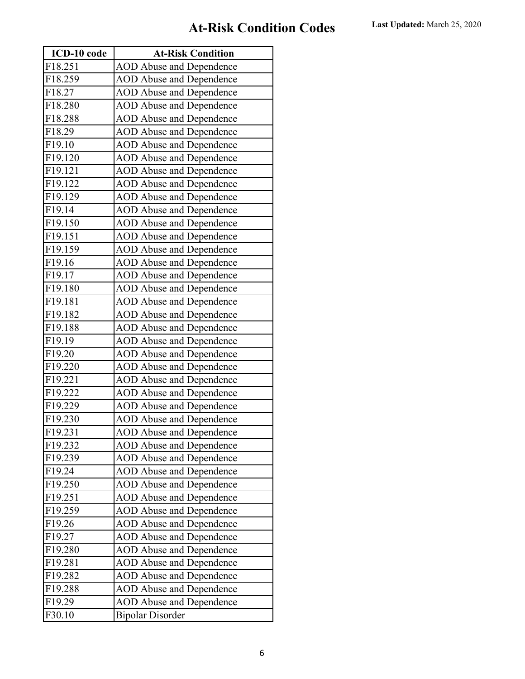| ICD-10 code | <b>At-Risk Condition</b>        |
|-------------|---------------------------------|
| F18.251     | <b>AOD Abuse and Dependence</b> |
| F18.259     | <b>AOD Abuse and Dependence</b> |
| F18.27      | <b>AOD Abuse and Dependence</b> |
| F18.280     | <b>AOD Abuse and Dependence</b> |
| F18.288     | <b>AOD Abuse and Dependence</b> |
| F18.29      | <b>AOD Abuse and Dependence</b> |
| F19.10      | <b>AOD</b> Abuse and Dependence |
| F19.120     | <b>AOD Abuse and Dependence</b> |
| F19.121     | <b>AOD Abuse and Dependence</b> |
| F19.122     | <b>AOD Abuse and Dependence</b> |
| F19.129     | <b>AOD Abuse and Dependence</b> |
| F19.14      | <b>AOD Abuse and Dependence</b> |
| F19.150     | <b>AOD Abuse and Dependence</b> |
| F19.151     | <b>AOD Abuse and Dependence</b> |
| F19.159     | <b>AOD Abuse and Dependence</b> |
| F19.16      | <b>AOD Abuse and Dependence</b> |
| F19.17      | <b>AOD Abuse and Dependence</b> |
| F19.180     | <b>AOD Abuse and Dependence</b> |
| F19.181     | <b>AOD Abuse and Dependence</b> |
| F19.182     | <b>AOD Abuse and Dependence</b> |
| F19.188     | <b>AOD Abuse and Dependence</b> |
| F19.19      | <b>AOD Abuse and Dependence</b> |
| F19.20      | <b>AOD Abuse and Dependence</b> |
| F19.220     | <b>AOD Abuse and Dependence</b> |
| F19.221     | <b>AOD Abuse and Dependence</b> |
| F19.222     | <b>AOD Abuse and Dependence</b> |
| F19.229     | <b>AOD Abuse and Dependence</b> |
| F19.230     | <b>AOD Abuse and Dependence</b> |
| F19.231     | <b>AOD</b> Abuse and Dependence |
| F19.232     | <b>AOD</b> Abuse and Dependence |
| F19.239     | <b>AOD Abuse and Dependence</b> |
| F19.24      | <b>AOD</b> Abuse and Dependence |
| F19.250     | <b>AOD Abuse and Dependence</b> |
| F19.251     | <b>AOD Abuse and Dependence</b> |
| F19.259     | <b>AOD Abuse and Dependence</b> |
| F19.26      | <b>AOD Abuse and Dependence</b> |
| F19.27      | <b>AOD Abuse and Dependence</b> |
| F19.280     | <b>AOD Abuse and Dependence</b> |
| F19.281     | <b>AOD Abuse and Dependence</b> |
| F19.282     | <b>AOD Abuse and Dependence</b> |
| F19.288     | <b>AOD Abuse and Dependence</b> |
| F19.29      | <b>AOD Abuse and Dependence</b> |
| F30.10      | <b>Bipolar Disorder</b>         |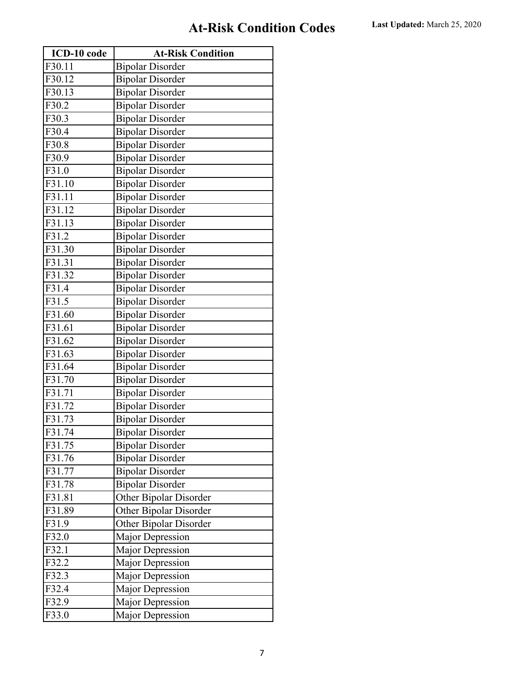| ICD-10 code | <b>At-Risk Condition</b> |
|-------------|--------------------------|
| F30.11      | <b>Bipolar Disorder</b>  |
| F30.12      | <b>Bipolar Disorder</b>  |
| F30.13      | <b>Bipolar Disorder</b>  |
| F30.2       | <b>Bipolar Disorder</b>  |
| F30.3       | <b>Bipolar Disorder</b>  |
| F30.4       | <b>Bipolar Disorder</b>  |
| F30.8       | <b>Bipolar Disorder</b>  |
| F30.9       | <b>Bipolar Disorder</b>  |
| F31.0       | <b>Bipolar Disorder</b>  |
| F31.10      | <b>Bipolar Disorder</b>  |
| F31.11      | <b>Bipolar Disorder</b>  |
| F31.12      | <b>Bipolar Disorder</b>  |
| F31.13      | <b>Bipolar Disorder</b>  |
| F31.2       | <b>Bipolar Disorder</b>  |
| F31.30      | <b>Bipolar Disorder</b>  |
| F31.31      | <b>Bipolar Disorder</b>  |
| F31.32      | <b>Bipolar Disorder</b>  |
| F31.4       | <b>Bipolar Disorder</b>  |
| F31.5       | <b>Bipolar Disorder</b>  |
| F31.60      | <b>Bipolar Disorder</b>  |
| F31.61      | <b>Bipolar Disorder</b>  |
| F31.62      | <b>Bipolar Disorder</b>  |
| F31.63      | <b>Bipolar Disorder</b>  |
| F31.64      | <b>Bipolar Disorder</b>  |
| F31.70      | <b>Bipolar Disorder</b>  |
| F31.71      | <b>Bipolar Disorder</b>  |
| F31.72      | <b>Bipolar Disorder</b>  |
| F31.73      | <b>Bipolar Disorder</b>  |
| F31.74      | <b>Bipolar Disorder</b>  |
| F31.75      | <b>Bipolar Disorder</b>  |
| F31.76      | <b>Bipolar Disorder</b>  |
| F31.77      | <b>Bipolar Disorder</b>  |
| F31.78      | <b>Bipolar Disorder</b>  |
| F31.81      | Other Bipolar Disorder   |
| F31.89      | Other Bipolar Disorder   |
| F31.9       | Other Bipolar Disorder   |
| F32.0       | Major Depression         |
| F32.1       | <b>Major Depression</b>  |
| F32.2       | <b>Major Depression</b>  |
| F32.3       | Major Depression         |
| F32.4       | <b>Major Depression</b>  |
| F32.9       | <b>Major Depression</b>  |
| F33.0       | Major Depression         |